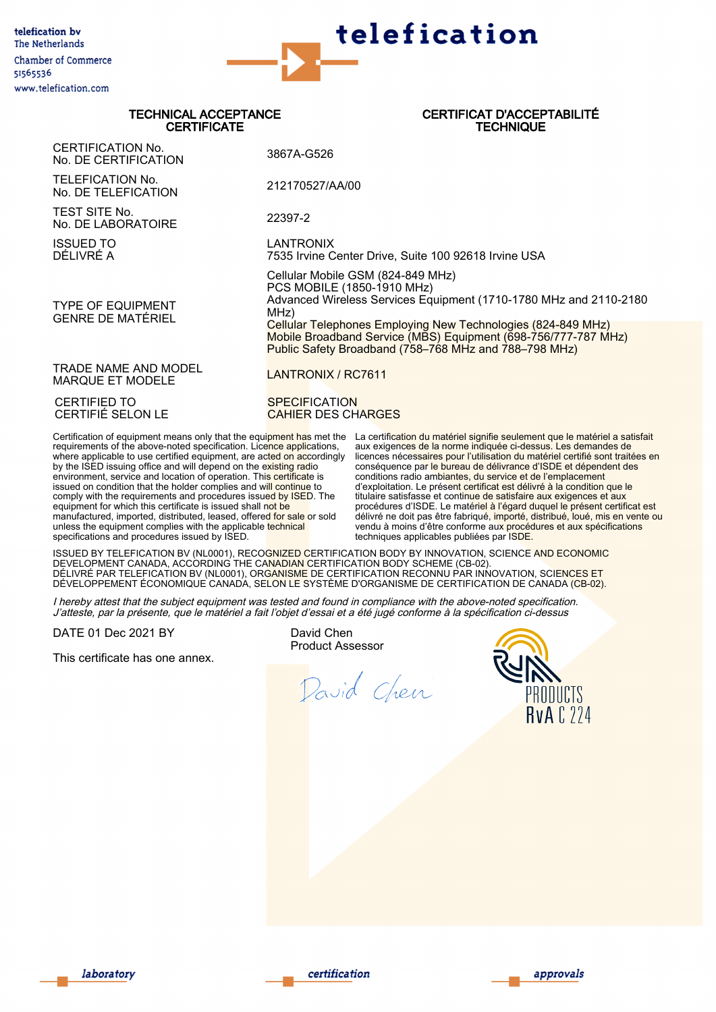

## TECHNICAL ACCEPTANCE **CERTIFICATE**

## CERTIFICAT D'ACCEPTABILITÉ **TECHNIQUE**

CERTIFICATION No. No. DE CERTIFICATION 3867A-G526 TELEFICATION No. TELEFICATION NO.<br>No. DE TELEFICATION 212170527/AA/00 TEST SITE No. No. DE LABORATOIRE 22397-2 ISSUED TO DÉLIVRÉ A LANTRONIX 7535 Irvine Center Drive, Suite 100 92618 Irvine USA TYPE OF EQUIPMENT GENRE DE MATÉRIEL Cellular Mobile GSM (824-849 MHz) PCS MOBILE (1850-1910 MHz) Advanced Wireless Services Equipment (1710-1780 MHz and 2110-2180 MHz) Cellular Telephones Employing New Technologies (824-849 MHz) Mobile Broadband Service (MBS) Equipment (698-756/777-787 MHz) Public Safety Broadband (758–768 MHz and 788–798 MHz) TRADE NAME AND MODEL TRADE NAME AND MODEL<br>MARQUE ET MODELE CERTIFIED TO CERTIFIÉ SELON LE **SPECIFICATION** CAHIER DES CHARGES

Certification of equipment means only that the equinment has met the requirements of the above-noted specification. Licence applications, requirements of the above noted oppositions. Electric approximation, where applicable to use certified equipment, are acted on accordingly by the ISED issuing office and will depend on the e<mark>xisting rad</mark>io environment, service and location of operation. Thi<mark>s certificat</mark>e is issued on condition that the holder complies and will continue to comply with the requirements and procedures issued by ISED. The equipment for which this certificate is issued shall not be manufactured, imported, distributed, leased, offered for sale or sold unless the equipment complies with the applicable technical specifications and procedures issued by ISED.

La certification du matériel signifie seulement que le matériel a satisfait aux exigences de la norme indiquée ci-dessus. Les demandes de La source du matériel certifié sont l'utilisation du matériel certifié sont traitées de<br>licences nécessaires pour l'utilisation du matériel certifié sont traitées en conséquence par le bureau de délivrance d'ISDE et dépendent des conditions radio ambiantes, du service et de l'emplacement d'exploitation. Le présent certificat est délivré à la condition que le titulaire satisfasse et continue de satisfaire aux exigences et aux procédures d'ISDE. Le matériel à l'égard duquel le présent certificat est délivré ne doit pas être fabriqué, importé, distribué, loué, mis en vente ou vendu à moins d'être conforme aux procédures et aux spécifications techniques applicables publiées par ISDE.

ISSUED BY TELEFICATION BV (NL0001), RECOGNIZED CERTIFICATION BODY BY INNOVATION, SCIENCE AND ECONOMIC DEVELOPMENT CANADA, ACCORDING THE CANADIAN CERTIFICATION BODY SCHEME (CB-02). DÉLIVRÉ PAR TELEFICATION BV (NL0001), ORGANISME DE CERTIFICATION RECONNU PAR INNOVATION, SCIENCES ET DÉVELOPPEMENT ÉCONOMIQUE CANADA, SELON LE SYSTÈME D'ORGANISME DE CERTIFICATION DE CANADA (CB-02).

I hereby attest that the subject equipment was tested and found in compliance with the above-noted specification. J'atteste, par la présente, que le matériel a fait l'objet d'essai et a été jugé conforme à la spécification ci-dessus

DATE 01 Dec 2021 BY

This certificate has one annex.

David Chen Product Assessor

David Chen





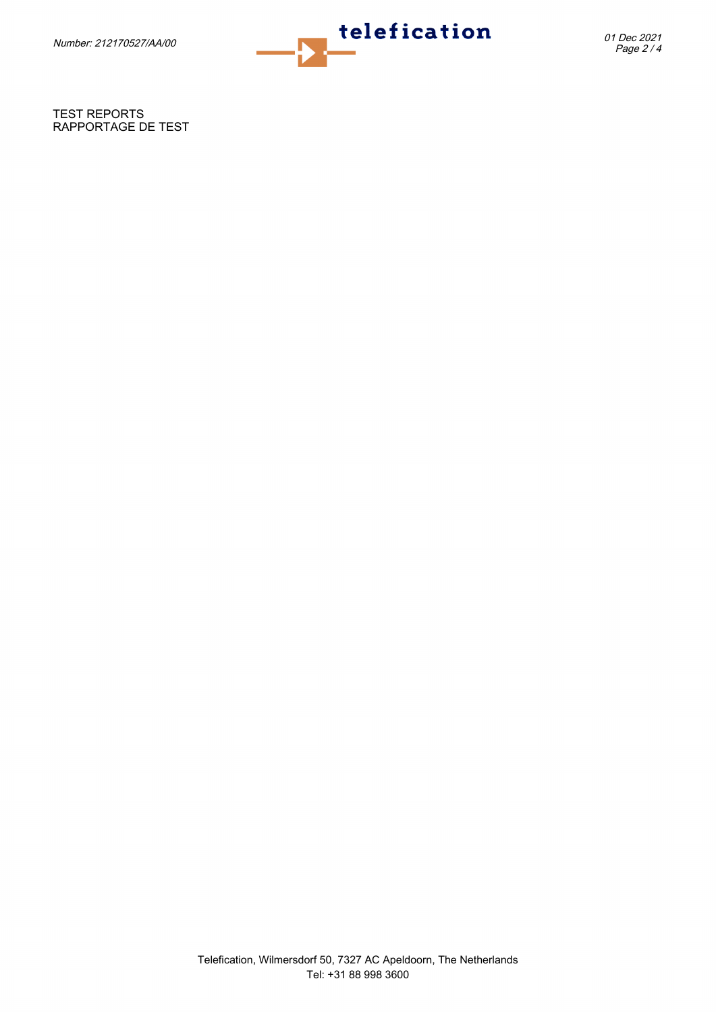

TEST REPORTS RAPPORTAGE DE TEST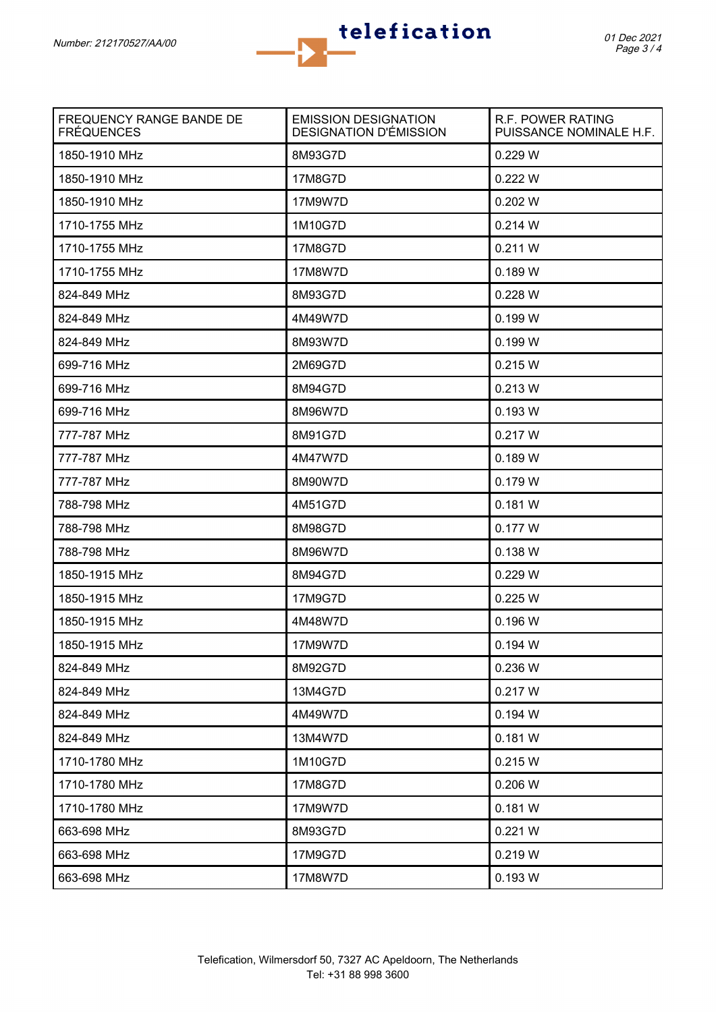

| FREQUENCY RANGE BANDE DE<br><b>FRÉQUENCES</b> | <b>EMISSION DESIGNATION</b><br><b>DESIGNATION D'ÉMISSION</b> | R.F. POWER RATING<br>PUISSANCE NOMINALE H.F. |
|-----------------------------------------------|--------------------------------------------------------------|----------------------------------------------|
| 1850-1910 MHz                                 | 8M93G7D                                                      | 0.229 W                                      |
| 1850-1910 MHz                                 | 17M8G7D                                                      | 0.222 W                                      |
| 1850-1910 MHz                                 | 17M9W7D                                                      | 0.202 W                                      |
| 1710-1755 MHz                                 | 1M10G7D                                                      | 0.214 W                                      |
| 1710-1755 MHz                                 | 17M8G7D                                                      | 0.211 W                                      |
| 1710-1755 MHz                                 | 17M8W7D                                                      | 0.189 W                                      |
| 824-849 MHz                                   | 8M93G7D                                                      | 0.228 W                                      |
| 824-849 MHz                                   | 4M49W7D                                                      | 0.199 W                                      |
| 824-849 MHz                                   | 8M93W7D                                                      | 0.199 W                                      |
| 699-716 MHz                                   | 2M69G7D                                                      | 0.215 W                                      |
| 699-716 MHz                                   | 8M94G7D                                                      | 0.213 W                                      |
| 699-716 MHz                                   | 8M96W7D                                                      | 0.193 W                                      |
| 777-787 MHz                                   | 8M91G7D                                                      | 0.217 W                                      |
| 777-787 MHz                                   | 4M47W7D                                                      | 0.189 W                                      |
| 777-787 MHz                                   | 8M90W7D                                                      | 0.179 W                                      |
| 788-798 MHz                                   | 4M51G7D                                                      | 0.181 W                                      |
| 788-798 MHz                                   | 8M98G7D                                                      | 0.177 W                                      |
| 788-798 MHz                                   | 8M96W7D                                                      | 0.138 W                                      |
| 1850-1915 MHz                                 | 8M94G7D                                                      | 0.229 W                                      |
| 1850-1915 MHz                                 | 17M9G7D                                                      | 0.225 W                                      |
| 1850-1915 MHz                                 | 4M48W7D                                                      | 0.196 W                                      |
| 1850-1915 MHz                                 | 17M9W7D                                                      | 0.194 W                                      |
| 824-849 MHz                                   | 8M92G7D                                                      | 0.236 W                                      |
| 824-849 MHz                                   | 13M4G7D                                                      | 0.217 W                                      |
| 824-849 MHz                                   | 4M49W7D                                                      | 0.194 W                                      |
| 824-849 MHz                                   | 13M4W7D                                                      | 0.181 W                                      |
| 1710-1780 MHz                                 | 1M10G7D                                                      | 0.215 W                                      |
| 1710-1780 MHz                                 | 17M8G7D                                                      | 0.206 W                                      |
| 1710-1780 MHz                                 | 17M9W7D                                                      | 0.181 W                                      |
| 663-698 MHz                                   | 8M93G7D                                                      | 0.221 W                                      |
| 663-698 MHz                                   | 17M9G7D                                                      | 0.219 W                                      |
| 663-698 MHz                                   | 17M8W7D                                                      | 0.193 W                                      |